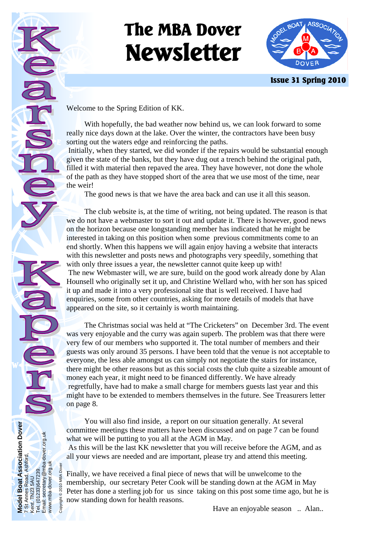# **The MBA Dover Newsletter**



 **Issue 31 Spring 2010** 

Welcome to the Spring Edition of KK.

**Model Boat Association Dover** 

7 St Annes Road, Ashford,

Model Boat Association Dover<br>7 St Annes Road, Ashford,<br>Kent. TN23 5AU

Kent. TN23 5AU Tel. (01233)647239. Email: secretary@mba-dover.org.uk

Tel. (01233)647239.<br>Email: secretary@mba-dover.org.uk<br>www.mba-dover.org.uk .org.uk

www.mba-dover.org.uk Copyright © 2010 MBA Dover

right © 2010 MBA Dove

 With hopefully, the bad weather now behind us, we can look forward to some really nice days down at the lake. Over the winter, the contractors have been busy sorting out the waters edge and reinforcing the paths.

 Initially, when they started, we did wonder if the repairs would be substantial enough given the state of the banks, but they have dug out a trench behind the original path, filled it with material then repaved the area. They have however, not done the whole of the path as they have stopped short of the area that we use most of the time, near the weir!

The good news is that we have the area back and can use it all this season.

 The club website is, at the time of writing, not being updated. The reason is that we do not have a webmaster to sort it out and update it. There is however, good news on the horizon because one longstanding member has indicated that he might be interested in taking on this position when some previous commitments come to an end shortly. When this happens we will again enjoy having a website that interacts with this newsletter and posts news and photographs very speedily, something that with only three issues a year, the newsletter cannot quite keep up with! The new Webmaster will, we are sure, build on the good work already done by Alan Hounsell who originally set it up, and Christine Wellard who, with her son has spiced it up and made it into a very professional site that is well received. I have had enquiries, some from other countries, asking for more details of models that have appeared on the site, so it certainly is worth maintaining.

 The Christmas social was held at "The Cricketers" on December 3rd. The event was very enjoyable and the curry was again superb. The problem was that there were very few of our members who supported it. The total number of members and their guests was only around 35 persons. I have been told that the venue is not acceptable to everyone, the less able amongst us can simply not negotiate the stairs for instance, there might be other reasons but as this social costs the club quite a sizeable amount of money each year, it might need to be financed differently. We have already regretfully, have had to make a small charge for members guests last year and this might have to be extended to members themselves in the future. See Treasurers letter on page 8.

 You will also find inside, a report on our situation generally. At several committee meetings these matters have been discussed and on page 7 can be found what we will be putting to you all at the AGM in May.

 As this will be the last KK newsletter that you will receive before the AGM, and as all your views are needed and are important, please try and attend this meeting.

Finally, we have received a final piece of news that will be unwelcome to the membership, our secretary Peter Cook will be standing down at the AGM in May Peter has done a sterling job for us since taking on this post some time ago, but he is now standing down for health reasons.

Have an enjoyable season ... Alan...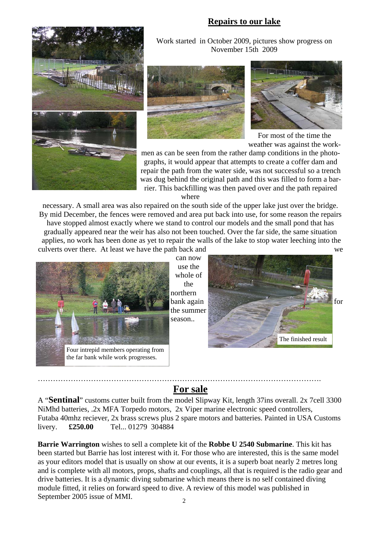## **Repairs to our lake**



Work started in October 2009, pictures show progress on November 15th 2009





For most of the time the weather was against the work-

men as can be seen from the rather damp conditions in the photographs, it would appear that attempts to create a coffer dam and repair the path from the water side, was not successful so a trench was dug behind the original path and this was filled to form a barrier. This backfilling was then paved over and the path repaired where

necessary. A small area was also repaired on the south side of the upper lake just over the bridge. By mid December, the fences were removed and area put back into use, for some reason the repairs have stopped almost exactly where we stand to control our models and the small pond that has gradually appeared near the weir has also not been touched. Over the far side, the same situation applies, no work has been done as yet to repair the walls of the lake to stop water leeching into the culverts over there. At least we have the path back and we



can now use the whole of the northern the summer season..



## **For sale**

………………………………………………………………………………………………….

A "**Sentinal**" customs cutter built from the model Slipway Kit, length 37ins overall. 2x 7cell 3300 NiMhd batteries, .2x MFA Torpedo motors, 2x Viper marine electronic speed controllers, Futaba 40mhz reciever, 2x brass screws plus 2 spare motors and batteries. Painted in USA Customs livery. **£250.00** Tel... 01279 304884

**Barrie Warrington** wishes to sell a complete kit of the **Robbe U 2540 Submarine**. This kit has been started but Barrie has lost interest with it. For those who are interested, this is the same model as your editors model that is usually on show at our events, it is a superb boat nearly 2 metres long and is complete with all motors, props, shafts and couplings, all that is required is the radio gear and drive batteries. It is a dynamic diving submarine which means there is no self contained diving module fitted, it relies on forward speed to dive. A review of this model was published in September 2005 issue of MMI.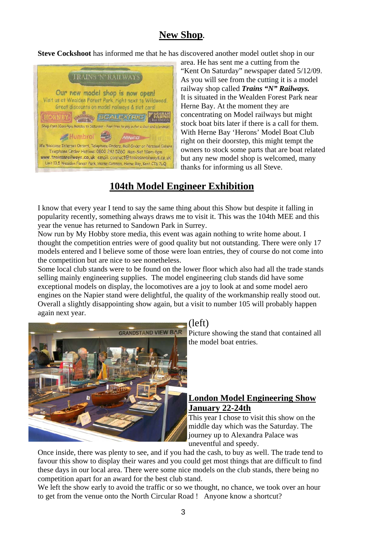# **New Shop.**

**Steve Cockshoot** has informed me that he has discovered another model outlet shop in our



area. He has sent me a cutting from the "Kent On Saturday" newspaper dated 5/12/09. As you will see from the cutting it is a model railway shop called *Trains "N" Railways.*  It is situated in the Wealden Forest Park near Herne Bay. At the moment they are concentrating on Model railways but might stock boat bits later if there is a call for them. With Herne Bay 'Herons' Model Boat Club right on their doorstep, this might tempt the owners to stock some parts that are boat related but any new model shop is welcomed, many thanks for informing us all Steve.

# **104th Model Engineer Exhibition**

I know that every year I tend to say the same thing about this Show but despite it falling in popularity recently, something always draws me to visit it. This was the 104th MEE and this year the venue has returned to Sandown Park in Surrey.

Now run by My Hobby store media, this event was again nothing to write home about. I thought the competition entries were of good quality but not outstanding. There were only 17 models entered and I believe some of those were loan entries, they of course do not come into the competition but are nice to see nonetheless.

Some local club stands were to be found on the lower floor which also had all the trade stands selling mainly engineering supplies. The model engineering club stands did have some exceptional models on display, the locomotives are a joy to look at and some model aero engines on the Napier stand were delightful, the quality of the workmanship really stood out. Overall a slightly disappointing show again, but a visit to number 105 will probably happen again next year.



# (left)

Picture showing the stand that contained all the model boat entries.

### **London Model Engineering Show January 22-24th**

This year I chose to visit this show on the middle day which was the Saturday. The journey up to Alexandra Palace was uneventful and speedy.

Once inside, there was plenty to see, and if you had the cash, to buy as well. The trade tend to favour this show to display their wares and you could get most things that are difficult to find these days in our local area. There were some nice models on the club stands, there being no competition apart for an award for the best club stand.

We left the show early to avoid the traffic or so we thought, no chance, we took over an hour to get from the venue onto the North Circular Road ! Anyone know a shortcut?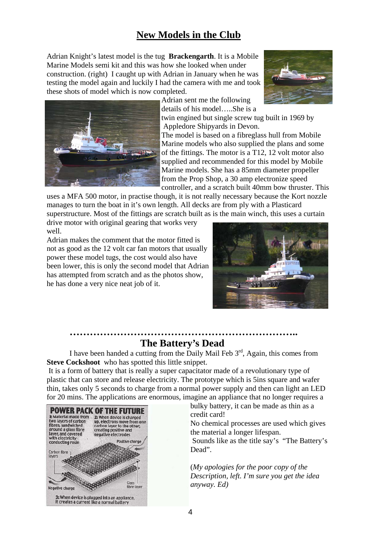# **New Models in the Club**

Adrian Knight's latest model is the tug **Brackengarth**. It is a Mobile Marine Models semi kit and this was how she looked when under construction. (right) I caught up with Adrian in January when he was testing the model again and luckily I had the camera with me and took these shots of model which is now completed.





Adrian sent me the following details of his model…..She is a

twin engined but single screw tug built in 1969 by Appledore Shipyards in Devon.

The model is based on a fibreglass hull from Mobile Marine models who also supplied the plans and some of the fittings. The motor is a T12, 12 volt motor also supplied and recommended for this model by Mobile Marine models. She has a 85mm diameter propeller from the Prop Shop, a 30 amp electronize speed controller, and a scratch built 40mm bow thruster. This

uses a MFA 500 motor, in practise though, it is not really necessary because the Kort nozzle manages to turn the boat in it's own length. All decks are from ply with a Plasticard superstructure. Most of the fittings are scratch built as is the main winch, this uses a curtain

drive motor with original gearing that works very well.

Adrian makes the comment that the motor fitted is not as good as the 12 volt car fan motors that usually power these model tugs, the cost would also have been lower, this is only the second model that Adrian has attempted from scratch and as the photos show, he has done a very nice neat job of it.



## **………………………………………………………….. The Battery's Dead**

I have been handed a cutting from the Daily Mail Feb  $3<sup>rd</sup>$ , Again, this comes from **Steve Cockshoot** who has spotted this little snippet.

 It is a form of battery that is really a super capacitator made of a revolutionary type of plastic that can store and release electricity. The prototype which is 5ins square and wafer thin, takes only 5 seconds to charge from a normal power supply and then can light an LED for 20 mins. The applications are enormous, imagine an appliance that no longer requires a



bulky battery, it can be made as thin as a credit card!

No chemical processes are used which gives the material a longer lifespan.

 Sounds like as the title say's "The Battery's Dead".

(*My apologies for the poor copy of the Description, left. I'm sure you get the idea anyway. Ed)*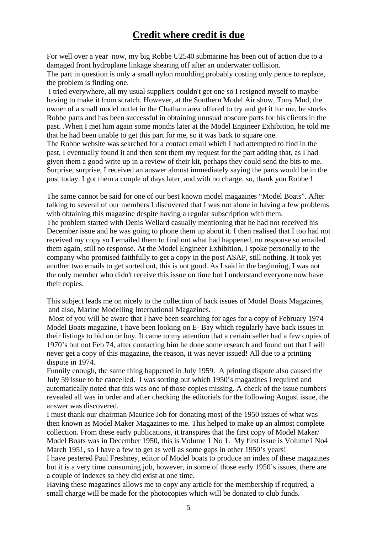# **Credit where credit is due**

For well over a year now, my big Robbe U2540 submarine has been out of action due to a damaged front hydroplane linkage shearing off after an underwater collision. The part in question is only a small nylon moulding probably costing only pence to replace, the problem is finding one.

 I tried everywhere, all my usual suppliers couldn't get one so I resigned myself to maybe having to make it from scratch. However, at the Southern Model Air show, Tony Mud, the owner of a small model outlet in the Chatham area offered to try and get it for me, he stocks Robbe parts and has been successful in obtaining unusual obscure parts for his clients in the past. .When I met him again some months later at the Model Engineer Exhibition, he told me that he had been unable to get this part for me, so it was back to square one.

The Robbe website was searched for a contact email which I had attempted to find in the past, I eventually found it and then sent them my request for the part adding that, as I had given them a good write up in a review of their kit, perhaps they could send the bits to me. Surprise, surprise, I received an answer almost immediately saying the parts would be in the post today. I got them a couple of days later, and with no charge, so, thank you Robbe !

The same cannot be said for one of our best known model magazines "Model Boats". After talking to several of our members I discovered that I was not alone in having a few problems with obtaining this magazine despite having a regular subscription with them. The problem started with Denis Wellard casually mentioning that he had not received his December issue and he was going to phone them up about it. I then realised that I too had not received my copy so I emailed them to find out what had happened, no response so emailed them again, still no response. At the Model Engineer Exhibition, I spoke personally to the company who promised faithfully to get a copy in the post ASAP, still nothing. It took yet another two emails to get sorted out, this is not good. As I said in the beginning, I was not the only member who didn't receive this issue on time but I understand everyone now have their copies.

This subject leads me on nicely to the collection of back issues of Model Boats Magazines, and also, Marine Modelling International Magazines.

 Most of you will be aware that I have been searching for ages for a copy of February 1974 Model Boats magazine, I have been looking on E- Bay which regularly have back issues in their listings to bid on or buy. It came to my attention that a certain seller had a few copies of 1970's but not Feb 74, after contacting him he done some research and found out that I will never get a copy of this magazine, the reason, it was never issued! All due to a printing dispute in 1974.

Funnily enough, the same thing happened in July 1959. A printing dispute also caused the July 59 issue to be cancelled. I was sorting out which 1950's magazines I required and automatically noted that this was one of those copies missing. A check of the issue numbers revealed all was in order and after checking the editorials for the following August issue, the answer was discovered.

I must thank our chairman Maurice Job for donating most of the 1950 issues of what was then known as Model Maker Magazines to me. This helped to make up an almost complete collection. From these early publications, it transpires that the first copy of Model Maker/ Model Boats was in December 1950, this is Volume 1 No 1. My first issue is Volume1 No4 March 1951, so I have a few to get as well as some gaps in other 1950's years!

I have pestered Paul Freshney, editor of Model boats to produce an index of these magazines but it is a very time consuming job, however, in some of those early 1950's issues, there are a couple of indexes so they did exist at one time.

Having these magazines allows me to copy any article for the membership if required, a small charge will be made for the photocopies which will be donated to club funds.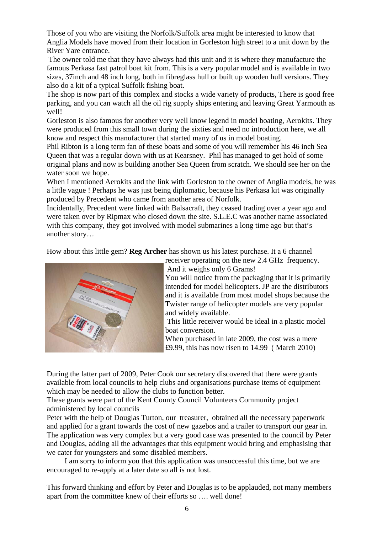Those of you who are visiting the Norfolk/Suffolk area might be interested to know that Anglia Models have moved from their location in Gorleston high street to a unit down by the River Yare entrance.

 The owner told me that they have always had this unit and it is where they manufacture the famous Perkasa fast patrol boat kit from. This is a very popular model and is available in two sizes, 37inch and 48 inch long, both in fibreglass hull or built up wooden hull versions. They also do a kit of a typical Suffolk fishing boat.

The shop is now part of this complex and stocks a wide variety of products, There is good free parking, and you can watch all the oil rig supply ships entering and leaving Great Yarmouth as well!

Gorleston is also famous for another very well know legend in model boating, Aerokits. They were produced from this small town during the sixties and need no introduction here, we all know and respect this manufacturer that started many of us in model boating.

Phil Ribton is a long term fan of these boats and some of you will remember his 46 inch Sea Queen that was a regular down with us at Kearsney. Phil has managed to get hold of some original plans and now is building another Sea Queen from scratch. We should see her on the water soon we hope.

When I mentioned Aerokits and the link with Gorleston to the owner of Anglia models, he was a little vague ! Perhaps he was just being diplomatic, because his Perkasa kit was originally produced by Precedent who came from another area of Norfolk.

Incidentally, Precedent were linked with Balsacraft, they ceased trading over a year ago and were taken over by Ripmax who closed down the site. S.L.E.C was another name associated with this company, they got involved with model submarines a long time ago but that's another story…

How about this little gem? **Reg Archer** has shown us his latest purchase. It a 6 channel



receiver operating on the new 2.4 GHz frequency. And it weighs only 6 Grams!

You will notice from the packaging that it is primarily intended for model helicopters. JP are the distributors and it is available from most model shops because the Twister range of helicopter models are very popular and widely available.

 This little receiver would be ideal in a plastic model boat conversion.

When purchased in late 2009, the cost was a mere £9.99, this has now risen to 14.99 ( March 2010)

During the latter part of 2009, Peter Cook our secretary discovered that there were grants available from local councils to help clubs and organisations purchase items of equipment which may be needed to allow the clubs to function better.

These grants were part of the Kent County Council Volunteers Community project administered by local councils

Peter with the help of Douglas Turton, our treasurer, obtained all the necessary paperwork and applied for a grant towards the cost of new gazebos and a trailer to transport our gear in. The application was very complex but a very good case was presented to the council by Peter and Douglas, adding all the advantages that this equipment would bring and emphasising that we cater for youngsters and some disabled members.

 I am sorry to inform you that this application was unsuccessful this time, but we are encouraged to re-apply at a later date so all is not lost.

This forward thinking and effort by Peter and Douglas is to be applauded, not many members apart from the committee knew of their efforts so …. well done!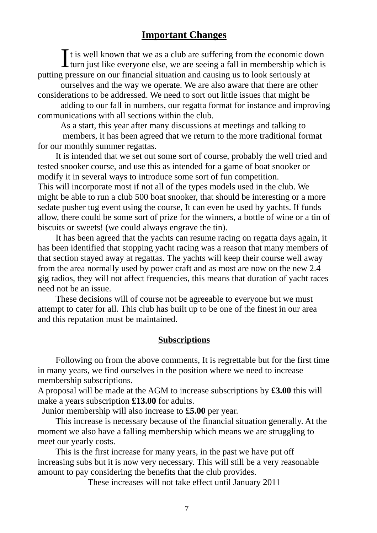# **Important Changes**

 $\prod$ t is well known that we as a club are suffering from the economic down turn just like everyone else, we are seeing a fall in membership which is putting pressure on our financial situation and causing us to look seriously at

ourselves and the way we operate. We are also aware that there are other considerations to be addressed. We need to sort out little issues that might be

adding to our fall in numbers, our regatta format for instance and improving communications with all sections within the club.

As a start, this year after many discussions at meetings and talking to members, it has been agreed that we return to the more traditional format for our monthly summer regattas.

 It is intended that we set out some sort of course, probably the well tried and tested snooker course, and use this as intended for a game of boat snooker or modify it in several ways to introduce some sort of fun competition. This will incorporate most if not all of the types models used in the club. We might be able to run a club 500 boat snooker, that should be interesting or a more sedate pusher tug event using the course, It can even be used by yachts. If funds allow, there could be some sort of prize for the winners, a bottle of wine or a tin of biscuits or sweets! (we could always engrave the tin).

 It has been agreed that the yachts can resume racing on regatta days again, it has been identified that stopping yacht racing was a reason that many members of that section stayed away at regattas. The yachts will keep their course well away from the area normally used by power craft and as most are now on the new 2.4 gig radios, they will not affect frequencies, this means that duration of yacht races need not be an issue.

 These decisions will of course not be agreeable to everyone but we must attempt to cater for all. This club has built up to be one of the finest in our area and this reputation must be maintained.

#### **Subscriptions**

 Following on from the above comments, It is regrettable but for the first time in many years, we find ourselves in the position where we need to increase membership subscriptions.

A proposal will be made at the AGM to increase subscriptions by **£3.00** this will make a years subscription **£13.00** for adults.

Junior membership will also increase to **£5.00** per year.

 This increase is necessary because of the financial situation generally. At the moment we also have a falling membership which means we are struggling to meet our yearly costs.

 This is the first increase for many years, in the past we have put off increasing subs but it is now very necessary. This will still be a very reasonable amount to pay considering the benefits that the club provides.

These increases will not take effect until January 2011